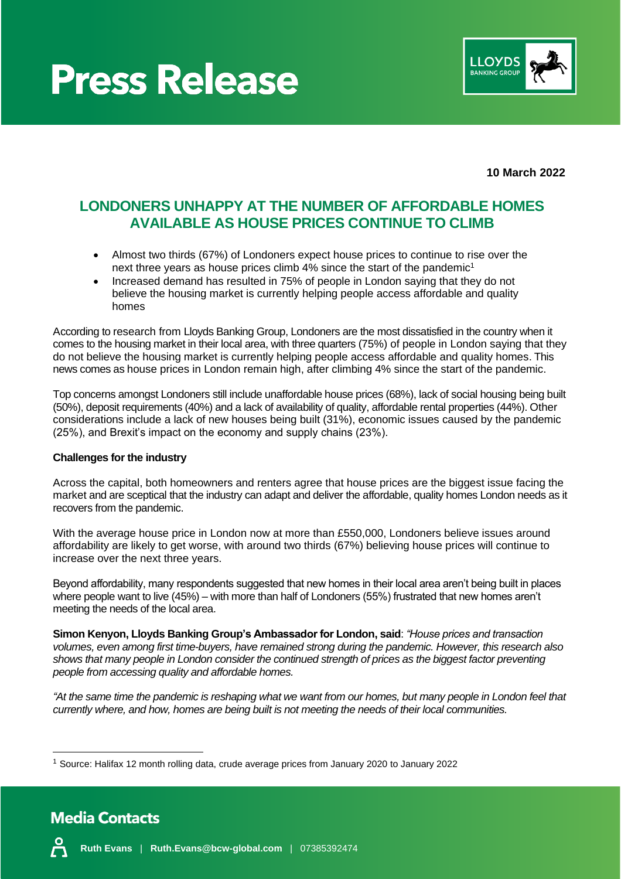



**10 March 2022**

### **LONDONERS UNHAPPY AT THE NUMBER OF AFFORDABLE HOMES AVAILABLE AS HOUSE PRICES CONTINUE TO CLIMB**

- Almost two thirds (67%) of Londoners expect house prices to continue to rise over the next three years as house prices climb 4% since the start of the pandemic<sup>1</sup>
- Increased demand has resulted in 75% of people in London saying that they do not believe the housing market is currently helping people access affordable and quality homes

According to research from Lloyds Banking Group, Londoners are the most dissatisfied in the country when it comes to the housing market in their local area, with three quarters (75%) of people in London saying that they do not believe the housing market is currently helping people access affordable and quality homes. This news comes as house prices in London remain high, after climbing 4% since the start of the pandemic.

Top concerns amongst Londoners still include unaffordable house prices (68%), lack of social housing being built (50%), deposit requirements (40%) and a lack of availability of quality, affordable rental properties (44%). Other considerations include a lack of new houses being built (31%), economic issues caused by the pandemic (25%), and Brexit's impact on the economy and supply chains (23%).

#### **Challenges for the industry**

Across the capital, both homeowners and renters agree that house prices are the biggest issue facing the market and are sceptical that the industry can adapt and deliver the affordable, quality homes London needs as it recovers from the pandemic.

With the average house price in London now at more than £550,000, Londoners believe issues around affordability are likely to get worse, with around two thirds (67%) believing house prices will continue to increase over the next three years.

Beyond affordability, many respondents suggested that new homes in their local area aren't being built in places where people want to live (45%) – with more than half of Londoners (55%) frustrated that new homes aren't meeting the needs of the local area.

**Simon Kenyon, Lloyds Banking Group's Ambassador for London, said**: *"House prices and transaction volumes, even among first time-buyers, have remained strong during the pandemic. However, this research also shows that many people in London consider the continued strength of prices as the biggest factor preventing people from accessing quality and affordable homes.* 

*"At the same time the pandemic is reshaping what we want from our homes, but many people in London feel that currently where, and how, homes are being built is not meeting the needs of their local communities.*

<sup>1</sup> Source: Halifax 12 month rolling data, crude average prices from January 2020 to January 2022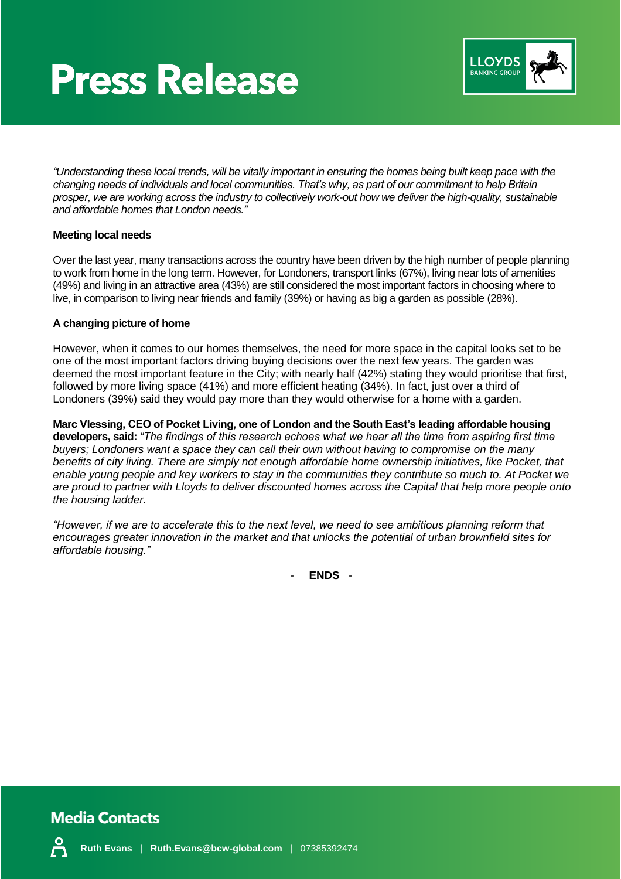## **Press Release**



*"Understanding these local trends, will be vitally important in ensuring the homes being built keep pace with the changing needs of individuals and local communities. That's why, as part of our commitment to help Britain prosper, we are working across the industry to collectively work-out how we deliver the high-quality, sustainable and affordable homes that London needs."*

#### **Meeting local needs**

Over the last year, many transactions across the country have been driven by the high number of people planning to work from home in the long term. However, for Londoners, transport links (67%), living near lots of amenities (49%) and living in an attractive area (43%) are still considered the most important factors in choosing where to live, in comparison to living near friends and family (39%) or having as big a garden as possible (28%).

#### **A changing picture of home**

However, when it comes to our homes themselves, the need for more space in the capital looks set to be one of the most important factors driving buying decisions over the next few years. The garden was deemed the most important feature in the City; with nearly half (42%) stating they would prioritise that first, followed by more living space (41%) and more efficient heating (34%). In fact, just over a third of Londoners (39%) said they would pay more than they would otherwise for a home with a garden.

**Marc Vlessing, CEO of Pocket Living, one of London and the South East's leading affordable housing developers, said:** *"The findings of this research echoes what we hear all the time from aspiring first time buyers; Londoners want a space they can call their own without having to compromise on the many*  benefits of city living. There are simply not enough affordable home ownership initiatives, like Pocket, that *enable young people and key workers to stay in the communities they contribute so much to. At Pocket we are proud to partner with Lloyds to deliver discounted homes across the Capital that help more people onto the housing ladder.* 

*"However, if we are to accelerate this to the next level, we need to see ambitious planning reform that encourages greater innovation in the market and that unlocks the potential of urban brownfield sites for affordable housing."*

- **ENDS** -